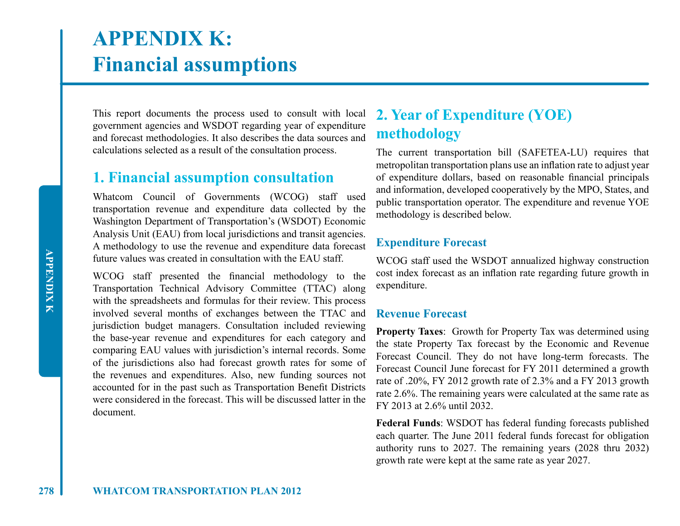# **APPENDIX K: Financial assumptions**

This report documents the process used to consult with local government agencies and WSDOT regarding year of expenditure and forecast methodologies. It also describes the data sources and calculations selected as a result of the consultation process.

## **1. Financial assumption consultation**

Whatcom Council of Governments (WCOG) staff used transportation revenue and expenditure data collected by the Washington Department of Transportation's (WSDOT) Economic Analysis Unit (EAU) from local jurisdictions and transit agencies. A methodology to use the revenue and expenditure data forecast future values was created in consultation with the EAU staff.

WCOG staff presented the financial methodology to the Transportation Technical Advisory Committee (TTAC) along with the spreadsheets and formulas for their review. This process involved several months of exchanges between the TTAC and jurisdiction budget managers. Consultation included reviewing the base-year revenue and expenditures for each category and comparing EAU values with jurisdiction's internal records. Some of the jurisdictions also had forecast growth rates for some of the revenues and expenditures. Also, new funding sources not accounted for in the past such as Transportation Benefit Districts were considered in the forecast. This will be discussed latter in the document.

# **2. Year of Expenditure (YOE) methodology**

The current transportation bill (SAFETEA-LU) requires that metropolitan transportation plans use an inflation rate to adjust year of expenditure dollars, based on reasonable financial principals and information, developed cooperatively by the MPO, States, and public transportation operator. The expenditure and revenue YOE methodology is described below.

### **Expenditure Forecast**

WCOG staff used the WSDOT annualized highway construction cost index forecast as an inflation rate regarding future growth in expenditure.

#### **Revenue Forecast**

**Property Taxes**: Growth for Property Tax was determined using the state Property Tax forecast by the Economic and Revenue Forecast Council. They do not have long-term forecasts. The Forecast Council June forecast for FY 2011 determined a growth rate of .20%, FY 2012 growth rate of 2.3% and a FY 2013 growth rate 2.6%. The remaining years were calculated at the same rate as FY 2013 at 2.6% until 2032.

**Federal Funds**: WSDOT has federal funding forecasts published each quarter. The June 2011 federal funds forecast for obligation authority runs to 2027. The remaining years (2028 thru 2032) growth rate were kept at the same rate as year 2027.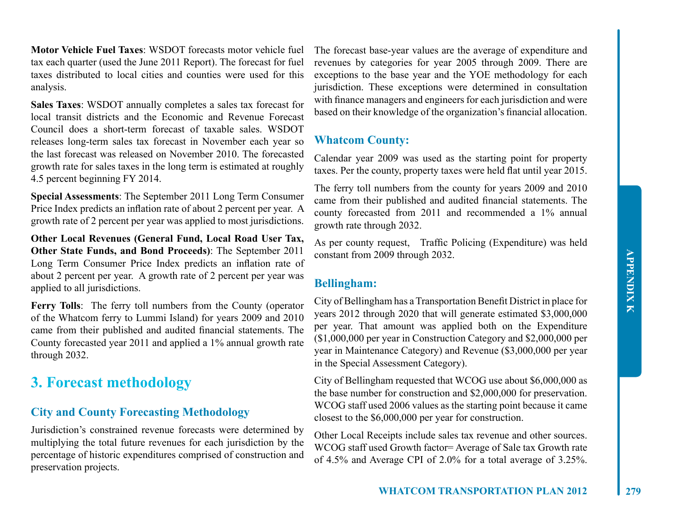**Motor Vehicle Fuel Taxes**: WSDOT forecasts motor vehicle fuel tax each quarter (used the June 2011 Report). The forecast for fuel taxes distributed to local cities and counties were used for this analysis.

**Sales Taxes**: WSDOT annually completes a sales tax forecast for local transit districts and the Economic and Revenue Forecast Council does a short-term forecast of taxable sales. WSDOT releases long-term sales tax forecast in November each year so the last forecast was released on November 2010. The forecasted growth rate for sales taxes in the long term is estimated at roughly 4.5 percent beginning FY 2014.

**Special Assessments**: The September 2011 Long Term Consumer Price Index predicts an inflation rate of about 2 percent per year. A growth rate of 2 percent per year was applied to most jurisdictions.

**Other Local Revenues (General Fund, Local Road User Tax, Other State Funds, and Bond Proceeds)**: The September 2011 Long Term Consumer Price Index predicts an inflation rate of about 2 percent per year. A growth rate of 2 percent per year was applied to all jurisdictions.

**Ferry Tolls**: The ferry toll numbers from the County (operator of the Whatcom ferry to Lummi Island) for years 2009 and 2010 came from their published and audited financial statements. The County forecasted year 2011 and applied a 1% annual growth rate through 2032.

# **3. Forecast methodology**

#### **City and County Forecasting Methodology**

Jurisdiction's constrained revenue forecasts were determined by multiplying the total future revenues for each jurisdiction by the percentage of historic expenditures comprised of construction and preservation projects.

The forecast base-year values are the average of expenditure and revenues by categories for year 2005 through 2009. There are exceptions to the base year and the YOE methodology for each jurisdiction. These exceptions were determined in consultation with finance managers and engineers for each jurisdiction and were based on their knowledge of the organization's financial allocation.

#### **Whatcom County:**

Calendar year 2009 was used as the starting point for property taxes. Per the county, property taxes were held flat until year 2015.

The ferry toll numbers from the county for years 2009 and 2010 came from their published and audited financial statements. The county forecasted from 2011 and recommended a 1% annual growth rate through 2032.

As per county request, Traffic Policing (Expenditure) was held constant from 2009 through 2032.

#### **Bellingham:**

City of Bellingham has a Transportation Benefit District in place for years 2012 through 2020 that will generate estimated \$3,000,000 per year. That amount was applied both on the Expenditure (\$1,000,000 per year in Construction Category and \$2,000,000 per year in Maintenance Category) and Revenue (\$3,000,000 per year in the Special Assessment Category).

City of Bellingham requested that WCOG use about \$6,000,000 as the base number for construction and \$2,000,000 for preservation. WCOG staff used 2006 values as the starting point because it came closest to the \$6,000,000 per year for construction.

Other Local Receipts include sales tax revenue and other sources. WCOG staff used Growth factor= Average of Sale tax Growth rate of 4.5% and Average CPI of 2.0% for a total average of 3.25%.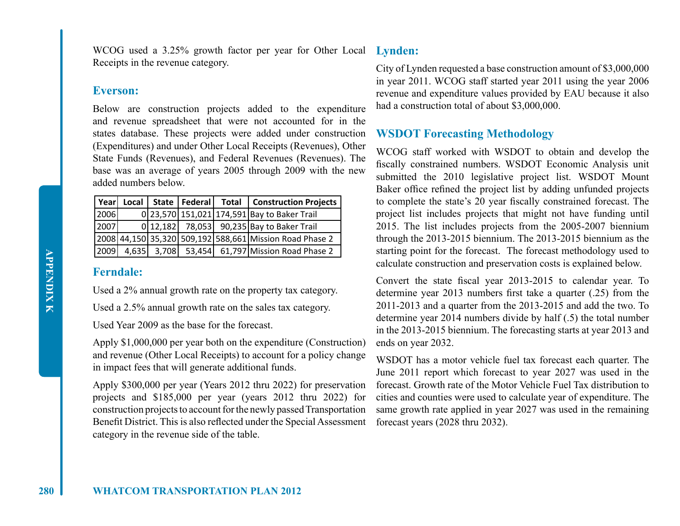WCOG used a 3.25% growth factor per year for Other Local **Lynden:** Receipts in the revenue category.

#### **Everson:**

Below are construction projects added to the expenditure and revenue spreadsheet that were not accounted for in the states database. These projects were added under construction (Expenditures) and under Other Local Receipts (Revenues), Other State Funds (Revenues), and Federal Revenues (Revenues). The base was an average of years 2005 through 2009 with the new added numbers below.

|      |  |  | Year   Local   State   Federal   Total   Construction Projects |
|------|--|--|----------------------------------------------------------------|
| 2006 |  |  | 0 23,570 151,021 174,591 Bay to Baker Trail                    |
| 2007 |  |  | 0 12,182 78,053 90,235 Bay to Baker Trail                      |
|      |  |  | 2008 44,150 35,320 509,192 588,661 Mission Road Phase 2        |
|      |  |  | 2009 4,635 3,708 53,454 61,797 Mission Road Phase 2            |

#### **Ferndale:**

Used a 2% annual growth rate on the property tax category.

Used a 2.5% annual growth rate on the sales tax category.

Used Year 2009 as the base for the forecast.

Apply \$1,000,000 per year both on the expenditure (Construction) and revenue (Other Local Receipts) to account for a policy change in impact fees that will generate additional funds.

Apply \$300,000 per year (Years 2012 thru 2022) for preservation projects and \$185,000 per year (years 2012 thru 2022) for construction projects to account for the newly passed Transportation Benefit District. This is also reflected under the Special Assessment category in the revenue side of the table.

City of Lynden requested a base construction amount of \$3,000,000 in year 2011. WCOG staff started year 2011 using the year 2006 revenue and expenditure values provided by EAU because it also had a construction total of about \$3,000,000.

#### **WSDOT Forecasting Methodology**

WCOG staff worked with WSDOT to obtain and develop the fiscally constrained numbers. WSDOT Economic Analysis unit submitted the 2010 legislative project list. WSDOT Mount Baker office refined the project list by adding unfunded projects to complete the state's 20 year fiscally constrained forecast. The project list includes projects that might not have funding until 2015. The list includes projects from the 2005-2007 biennium through the 2013-2015 biennium. The 2013-2015 biennium as the starting point for the forecast. The forecast methodology used to calculate construction and preservation costs is explained below.

Convert the state fiscal year 2013-2015 to calendar year. To determine year 2013 numbers first take a quarter (.25) from the 2011-2013 and a quarter from the 2013-2015 and add the two. To determine year 2014 numbers divide by half (.5) the total number in the 2013-2015 biennium. The forecasting starts at year 2013 and ends on year 2032.

WSDOT has a motor vehicle fuel tax forecast each quarter. The June 2011 report which forecast to year 2027 was used in the forecast. Growth rate of the Motor Vehicle Fuel Tax distribution to cities and counties were used to calculate year of expenditure. The same growth rate applied in year 2027 was used in the remaining forecast years (2028 thru 2032).